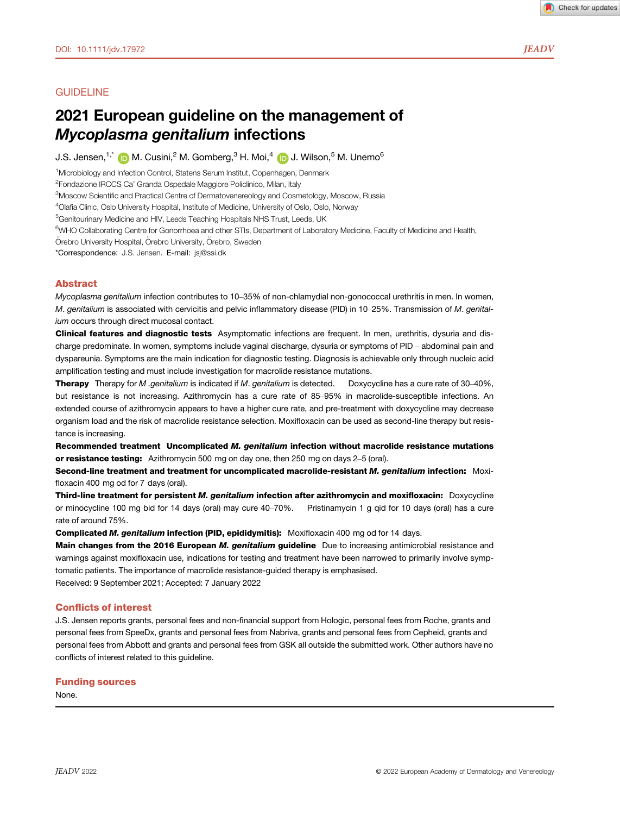# **GUIDELINE**

# 2021 European guideline on the management of Mycopl[as](https://orcid.org/0000-0002-7464-7435)ma genitalium infections

J.S. Jensen,  $1^*$  (D M. Cusini,  $^2$  M. Gomberg,  $^3$  H. Moi,  $^4$  (D J. Wilson,  $^5$  M. Unemo<sup>6</sup>

<sup>1</sup>Microbiology and Infection Control, Statens Serum Institut, Copenhagen, Denmark

<sup>2</sup>Fondazione IRCCS Ca' Granda Ospedale Maggiore Policlinico, Milan, Italy

<sup>3</sup>Moscow Scientific and Practical Centre of Dermatovenereology and Cosmetology, Moscow, Russia

4 Olafia Clinic, Oslo University Hospital, Institute of Medicine, University of Oslo, Oslo, Norway

<sup>5</sup>Genitourinary Medicine and HIV, Leeds Teaching Hospitals NHS Trust, Leeds, UK

<sup>6</sup>WHO Collaborating Centre for Gonorrhoea and other STIs, Department of Laboratory Medicine, Faculty of Medicine and Health,

Örebro University Hospital, Örebro University, Örebro, Sweden

\*Correspondence: J.S. Jensen. E-mail: [jsj@ssi.dk](mailto:)

# Abstract

Mycoplasma genitalium infection contributes to 10–35% of non-chlamydial non-gonococcal urethritis in men. In women, M. genitalium is associated with cervicitis and pelvic inflammatory disease (PID) in 10-25%. Transmission of M. genitalium occurs through direct mucosal contact.

Clinical features and diagnostic tests Asymptomatic infections are frequent. In men, urethritis, dysuria and discharge predominate. In women, symptoms include vaginal discharge, dysuria or symptoms of PID – abdominal pain and dyspareunia. Symptoms are the main indication for diagnostic testing. Diagnosis is achievable only through nucleic acid amplification testing and must include investigation for macrolide resistance mutations.

Therapy Therapy for M .genitalium is indicated if M. genitalium is detected. Doxycycline has a cure rate of 30-40%, but resistance is not increasing. Azithromycin has a cure rate of 85–95% in macrolide-susceptible infections. An extended course of azithromycin appears to have a higher cure rate, and pre-treatment with doxycycline may decrease organism load and the risk of macrolide resistance selection. Moxifloxacin can be used as second-line therapy but resistance is increasing.

Recommended treatment Uncomplicated M. genitalium infection without macrolide resistance mutations or resistance testing: Azithromycin 500 mg on day one, then 250 mg on days 2–5 (oral).

Second-line treatment and treatment for uncomplicated macrolide-resistant M. genitalium infection: Moxifloxacin 400 mg od for 7 days (oral).

**Third-line treatment for persistent** *M. genitalium* **infection after azithromycin and moxifloxacin:** Doxycycline or minocycline or minocycline and the distring or minocycline and the or minocycline and the or minocycline a or minocycline 100 mg bid for 14 days (oral) may cure 40–70%. rate of around 75%.

Complicated M. genitalium infection (PID, epididymitis): Moxifloxacin 400 mg od for 14 days.

Main changes from the 2016 European M. genitalium guideline Due to increasing antimicrobial resistance and warnings against moxifloxacin use, indications for testing and treatment have been narrowed to primarily involve symptomatic patients. The importance of macrolide resistance-guided therapy is emphasised. Received: 9 September 2021; Accepted: 7 January 2022

### Conflicts of interest

J.S. Jensen reports grants, personal fees and non-financial support from Hologic, personal fees from Roche, grants and personal fees from SpeeDx, grants and personal fees from Nabriva, grants and personal fees from Cepheid, grants and personal fees from Abbott and grants and personal fees from GSK all outside the submitted work. Other authors have no conflicts of interest related to this guideline.

#### Funding sources

None.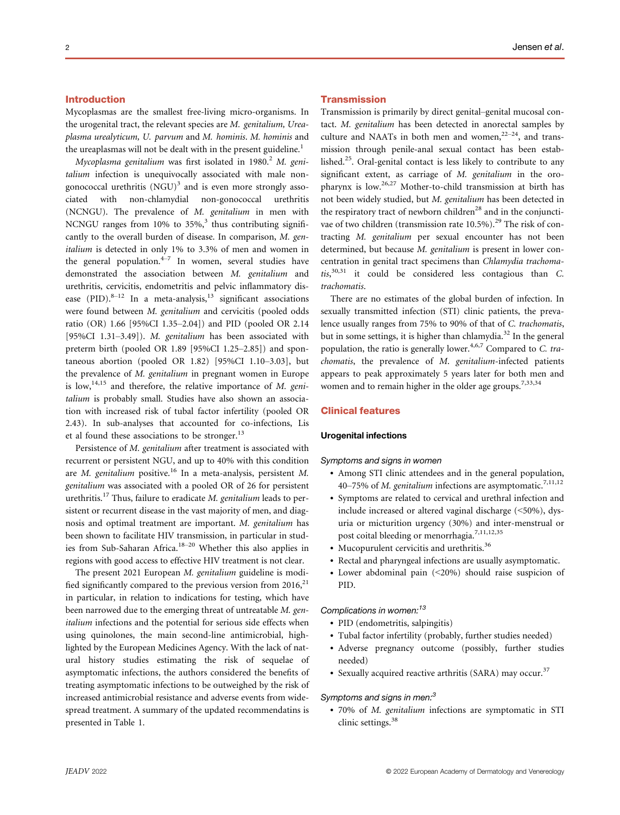# Introduction

Mycoplasmas are the smallest free-living micro-organisms. In the urogenital tract, the relevant species are M. genitalium, Ureaplasma urealyticum, U. parvum and M. hominis. M. hominis and the ureaplasmas will not be dealt with in the present guideline.<sup>1</sup>

Mycoplasma genitalium was first isolated in 1980.<sup>2</sup> M. genitalium infection is unequivocally associated with male nongonococcal urethritis  $(NGU)^3$  and is even more strongly associated with non-chlamydial non-gonococcal urethritis (NCNGU). The prevalence of M. genitalium in men with NCNGU ranges from 10% to  $35\%$ ,<sup>3</sup> thus contributing significantly to the overall burden of disease. In comparison, M. genitalium is detected in only 1% to 3.3% of men and women in the general population. $4\pi$ <sup>17</sup> In women, several studies have demonstrated the association between M. genitalium and urethritis, cervicitis, endometritis and pelvic inflammatory disease  $(PID).<sup>8-12</sup>$  In a meta-analysis, $<sup>13</sup>$  significant associations</sup> were found between M. genitalium and cervicitis (pooled odds ratio (OR) 1.66 [95%CI 1.35–2.04]) and PID (pooled OR 2.14 [95%CI 1.31–3.49]). M. genitalium has been associated with preterm birth (pooled OR 1.89 [95%CI 1.25–2.85]) and spontaneous abortion (pooled OR 1.82) [95%CI 1.10–3.03], but the prevalence of M. genitalium in pregnant women in Europe is  $low, ^{14,15}$  and therefore, the relative importance of M. genitalium is probably small. Studies have also shown an association with increased risk of tubal factor infertility (pooled OR 2.43). In sub-analyses that accounted for co-infections, Lis et al found these associations to be stronger. $^{13}$ 

Persistence of M. genitalium after treatment is associated with recurrent or persistent NGU, and up to 40% with this condition are M. genitalium positive.<sup>16</sup> In a meta-analysis, persistent M. genitalium was associated with a pooled OR of 26 for persistent urethritis.<sup>17</sup> Thus, failure to eradicate *M. genitalium* leads to persistent or recurrent disease in the vast majority of men, and diagnosis and optimal treatment are important. M. genitalium has been shown to facilitate HIV transmission, in particular in studies from Sub-Saharan Africa. $18-20$  Whether this also applies in regions with good access to effective HIV treatment is not clear.

The present 2021 European M. genitalium guideline is modified significantly compared to the previous version from  $2016$ , $^{21}$ in particular, in relation to indications for testing, which have been narrowed due to the emerging threat of untreatable M. genitalium infections and the potential for serious side effects when using quinolones, the main second-line antimicrobial, highlighted by the European Medicines Agency. With the lack of natural history studies estimating the risk of sequelae of asymptomatic infections, the authors considered the benefits of treating asymptomatic infections to be outweighed by the risk of increased antimicrobial resistance and adverse events from widespread treatment. A summary of the updated recommendatins is presented in Table 1.

### **Transmission**

Transmission is primarily by direct genital–genital mucosal contact. M. genitalium has been detected in anorectal samples by culture and NAATs in both men and women,  $2^{2-24}$ , and transmission through penile-anal sexual contact has been established.25. Oral-genital contact is less likely to contribute to any significant extent, as carriage of M. genitalium in the oropharynx is low.26,27 Mother-to-child transmission at birth has not been widely studied, but M. genitalium has been detected in the respiratory tract of newborn children<sup>28</sup> and in the conjunctivae of two children (transmission rate  $10.5\%$ ).<sup>29</sup> The risk of contracting M. genitalium per sexual encounter has not been determined, but because M. genitalium is present in lower concentration in genital tract specimens than Chlamydia trachomatis, 30,31 it could be considered less contagious than C. trachomatis.

There are no estimates of the global burden of infection. In sexually transmitted infection (STI) clinic patients, the prevalence usually ranges from 75% to 90% of that of C. trachomatis, but in some settings, it is higher than chlamydia.<sup>32</sup> In the general population, the ratio is generally lower.<sup>4,6,7</sup> Compared to C. trachomatis, the prevalence of M. genitalium-infected patients appears to peak approximately 5 years later for both men and women and to remain higher in the older age groups.<sup>7,33,34</sup>

### Clinical features

### Urogenital infections

#### Symptoms and signs in women

- Among STI clinic attendees and in the general population, 40–75% of M. genitalium infections are asymptomatic.<sup>7,11,12</sup>
- Symptoms are related to cervical and urethral infection and include increased or altered vaginal discharge (<50%), dysuria or micturition urgency (30%) and inter-menstrual or post coital bleeding or menorrhagia.<sup>7,11,12,35</sup>
- Mucopurulent cervicitis and urethritis.<sup>36</sup>
- Rectal and pharyngeal infections are usually asymptomatic.
- Lower abdominal pain (<20%) should raise suspicion of PID.

### Complications in women:<sup>13</sup>

- PID (endometritis, salpingitis)
- Tubal factor infertility (probably, further studies needed)
- Adverse pregnancy outcome (possibly, further studies needed)
- Sexually acquired reactive arthritis (SARA) may occur.<sup>37</sup>

#### Symptoms and signs in men: $3$

• 70% of M. genitalium infections are symptomatic in STI clinic settings.<sup>38</sup>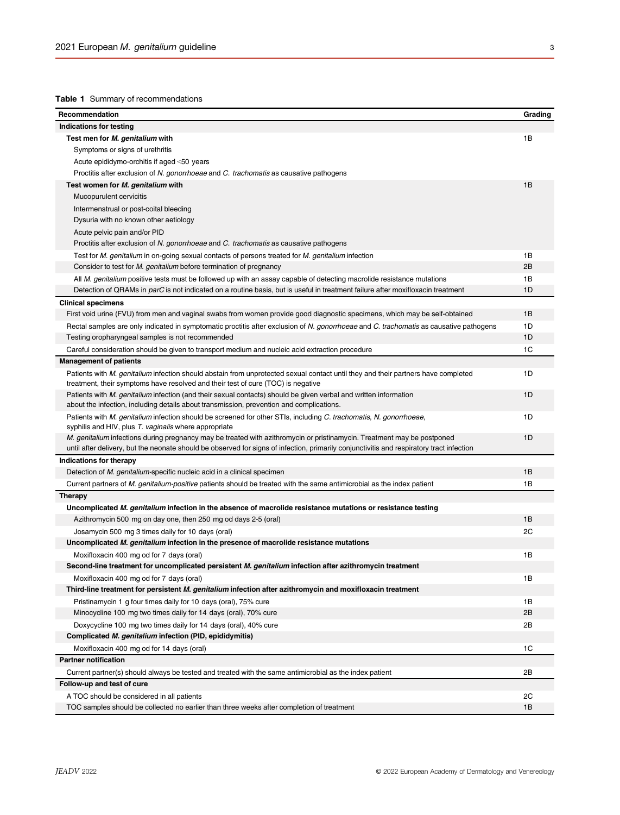# Table 1 Summary of recommendations

| Recommendation                                                                                                                                                              | Grading |
|-----------------------------------------------------------------------------------------------------------------------------------------------------------------------------|---------|
| Indications for testing                                                                                                                                                     |         |
| Test men for M. genitalium with                                                                                                                                             | 1B      |
| Symptoms or signs of urethritis                                                                                                                                             |         |
| Acute epididymo-orchitis if aged <50 years                                                                                                                                  |         |
| Proctitis after exclusion of N. gonorrhoeae and C. trachomatis as causative pathogens                                                                                       |         |
| Test women for M. genitalium with                                                                                                                                           | 1B      |
| Mucopurulent cervicitis                                                                                                                                                     |         |
| Intermenstrual or post-coital bleeding                                                                                                                                      |         |
| Dysuria with no known other aetiology                                                                                                                                       |         |
| Acute pelvic pain and/or PID                                                                                                                                                |         |
| Proctitis after exclusion of N. gonorrhoeae and C. trachomatis as causative pathogens                                                                                       |         |
| Test for M. genitalium in on-going sexual contacts of persons treated for M. genitalium infection                                                                           | 1B      |
| Consider to test for M. genitalium before termination of pregnancy                                                                                                          | 2B      |
| All M. genitalium positive tests must be followed up with an assay capable of detecting macrolide resistance mutations                                                      | 1B      |
| Detection of QRAMs in parC is not indicated on a routine basis, but is useful in treatment failure after moxifloxacin treatment                                             | 1D      |
| <b>Clinical specimens</b>                                                                                                                                                   |         |
| First void urine (FVU) from men and vaginal swabs from women provide good diagnostic specimens, which may be self-obtained                                                  | 1B      |
| Rectal samples are only indicated in symptomatic proctitis after exclusion of N. gonorrhoeae and C. trachomatis as causative pathogens                                      | 1D      |
| Testing oropharyngeal samples is not recommended                                                                                                                            | 1D      |
| Careful consideration should be given to transport medium and nucleic acid extraction procedure                                                                             | 1C      |
| <b>Management of patients</b>                                                                                                                                               |         |
| Patients with M. genitalium infection should abstain from unprotected sexual contact until they and their partners have completed                                           | 1D      |
| treatment, their symptoms have resolved and their test of cure (TOC) is negative                                                                                            |         |
| Patients with M. genitalium infection (and their sexual contacts) should be given verbal and written information                                                            | 1D      |
| about the infection, including details about transmission, prevention and complications.                                                                                    |         |
| Patients with M. genitalium infection should be screened for other STIs, including C. trachomatis, N. gonorrhoeae,<br>syphilis and HIV, plus T. vaginalis where appropriate | 1D      |
| M. genitalium infections during pregnancy may be treated with azithromycin or pristinamycin. Treatment may be postponed                                                     | 1D      |
| until after delivery, but the neonate should be observed for signs of infection, primarily conjunctivitis and respiratory tract infection                                   |         |
| Indications for therapy                                                                                                                                                     |         |
| Detection of M. genitalium-specific nucleic acid in a clinical specimen                                                                                                     | 1B      |
| Current partners of M. genitalium-positive patients should be treated with the same antimicrobial as the index patient                                                      | 1B      |
| Therapy                                                                                                                                                                     |         |
| Uncomplicated M. genitalium infection in the absence of macrolide resistance mutations or resistance testing                                                                |         |
| Azithromycin 500 mg on day one, then 250 mg od days 2-5 (oral)                                                                                                              | 1B      |
| Josamycin 500 mg 3 times daily for 10 days (oral)                                                                                                                           | 2C      |
| Uncomplicated M. genitalium infection in the presence of macrolide resistance mutations                                                                                     |         |
| Moxifloxacin 400 mg od for 7 days (oral)                                                                                                                                    | 1B      |
| Second-line treatment for uncomplicated persistent M. genitalium infection after azithromycin treatment                                                                     |         |
| Moxifloxacin 400 mg od for 7 days (oral)                                                                                                                                    | 1B      |
| Third-line treatment for persistent M. genitalium infection after azithromycin and moxifloxacin treatment                                                                   |         |
| Pristinamycin 1 g four times daily for 10 days (oral), 75% cure                                                                                                             | 1В      |
| Minocycline 100 mg two times daily for 14 days (oral), 70% cure                                                                                                             | 2B      |
| Doxycycline 100 mg two times daily for 14 days (oral), 40% cure                                                                                                             | 2B      |
| Complicated M. genitalium infection (PID, epididymitis)                                                                                                                     |         |
| Moxifloxacin 400 mg od for 14 days (oral)                                                                                                                                   | 1C      |
| <b>Partner notification</b>                                                                                                                                                 |         |
| Current partner(s) should always be tested and treated with the same antimicrobial as the index patient                                                                     | 2B      |
| Follow-up and test of cure                                                                                                                                                  |         |
| A TOC should be considered in all patients                                                                                                                                  | 2C      |
| TOC samples should be collected no earlier than three weeks after completion of treatment                                                                                   | 1B      |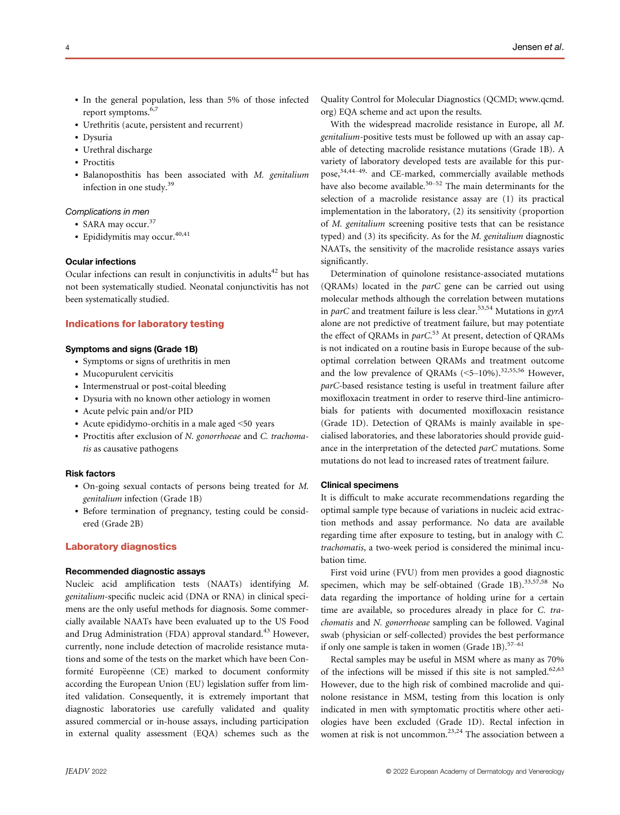- In the general population, less than 5% of those infected report symptoms.6,7
- Urethritis (acute, persistent and recurrent)
- Dysuria
- Urethral discharge
- Proctitis
- Balanoposthitis has been associated with M. genitalium infection in one study.39

### Complications in men

- SARA may occur.<sup>37</sup>
- Epididymitis may occur. $40,41$

# Ocular infections

Ocular infections can result in conjunctivitis in adults<sup>42</sup> but has not been systematically studied. Neonatal conjunctivitis has not been systematically studied.

## Indications for laboratory testing

# Symptoms and signs (Grade 1B)

- Symptoms or signs of urethritis in men
- Mucopurulent cervicitis
- Intermenstrual or post-coital bleeding
- Dysuria with no known other aetiology in women
- Acute pelvic pain and/or PID
- Acute epididymo-orchitis in a male aged <50 years
- Proctitis after exclusion of N. gonorrhoeae and C. trachomatis as causative pathogens

### Risk factors

- On-going sexual contacts of persons being treated for M. genitalium infection (Grade 1B)
- Before termination of pregnancy, testing could be considered (Grade 2B)

### Laboratory diagnostics

### Recommended diagnostic assays

Nucleic acid amplification tests (NAATs) identifying M. genitalium-specific nucleic acid (DNA or RNA) in clinical specimens are the only useful methods for diagnosis. Some commercially available NAATs have been evaluated up to the US Food and Drug Administration (FDA) approval standard.<sup>43</sup> However, currently, none include detection of macrolide resistance mutations and some of the tests on the market which have been Conformité Europëenne (CE) marked to document conformity according the European Union (EU) legislation suffer from limited validation. Consequently, it is extremely important that diagnostic laboratories use carefully validated and quality assured commercial or in-house assays, including participation in external quality assessment (EQA) schemes such as the Quality Control for Molecular Diagnostics (QCMD; [www.qcmd.](http://www.qcmd.org) [org](http://www.qcmd.org)) EQA scheme and act upon the results.

With the widespread macrolide resistance in Europe, all M. genitalium-positive tests must be followed up with an assay capable of detecting macrolide resistance mutations (Grade 1B). A variety of laboratory developed tests are available for this purpose,<sup>34,44-49,</sup> and CE-marked, commercially available methods have also become available.<sup>50–52</sup> The main determinants for the selection of a macrolide resistance assay are (1) its practical implementation in the laboratory, (2) its sensitivity (proportion of M. genitalium screening positive tests that can be resistance typed) and (3) its specificity. As for the M. genitalium diagnostic NAATs, the sensitivity of the macrolide resistance assays varies significantly.

Determination of quinolone resistance-associated mutations (QRAMs) located in the parC gene can be carried out using molecular methods although the correlation between mutations in parC and treatment failure is less clear.<sup>53,54</sup> Mutations in gyrA alone are not predictive of treatment failure, but may potentiate the effect of QRAMs in parC.<sup>53</sup> At present, detection of QRAMs is not indicated on a routine basis in Europe because of the suboptimal correlation between QRAMs and treatment outcome and the low prevalence of ORAMs  $( $5-10\%$ )$ .<sup>32,55,56</sup> However, parC-based resistance testing is useful in treatment failure after moxifloxacin treatment in order to reserve third-line antimicrobials for patients with documented moxifloxacin resistance (Grade 1D). Detection of QRAMs is mainly available in specialised laboratories, and these laboratories should provide guidance in the interpretation of the detected parC mutations. Some mutations do not lead to increased rates of treatment failure.

### Clinical specimens

It is difficult to make accurate recommendations regarding the optimal sample type because of variations in nucleic acid extraction methods and assay performance. No data are available regarding time after exposure to testing, but in analogy with C. trachomatis, a two-week period is considered the minimal incubation time.

First void urine (FVU) from men provides a good diagnostic specimen, which may be self-obtained (Grade 1B). $33,57,58$  No data regarding the importance of holding urine for a certain time are available, so procedures already in place for C. trachomatis and N. gonorrhoeae sampling can be followed. Vaginal swab (physician or self-collected) provides the best performance if only one sample is taken in women (Grade 1B).<sup>57-61</sup>

Rectal samples may be useful in MSM where as many as 70% of the infections will be missed if this site is not sampled.<sup>62,63</sup> However, due to the high risk of combined macrolide and quinolone resistance in MSM, testing from this location is only indicated in men with symptomatic proctitis where other aetiologies have been excluded (Grade 1D). Rectal infection in women at risk is not uncommon.<sup>23,24</sup> The association between a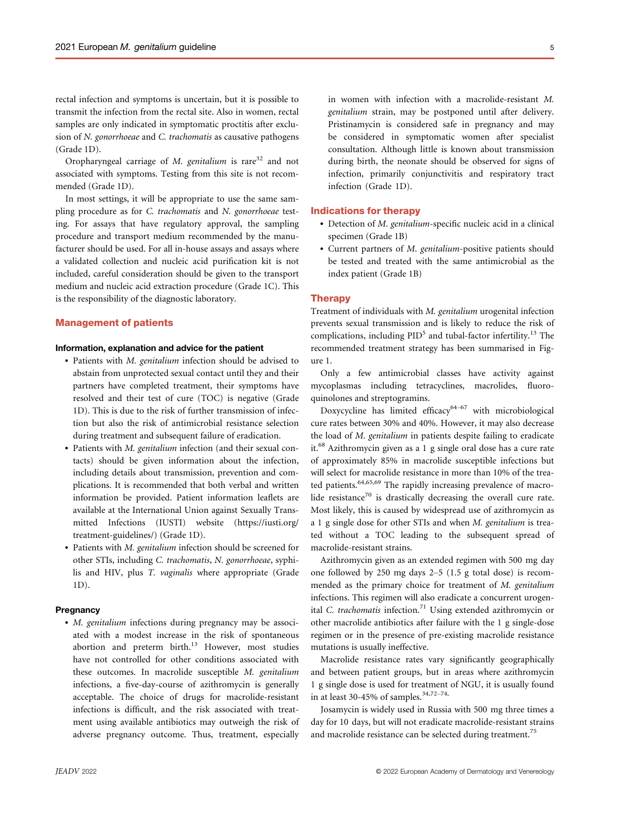rectal infection and symptoms is uncertain, but it is possible to transmit the infection from the rectal site. Also in women, rectal samples are only indicated in symptomatic proctitis after exclusion of N. gonorrhoeae and C. trachomatis as causative pathogens (Grade 1D).

Oropharyngeal carriage of  $M$ . genitalium is rare<sup>32</sup> and not associated with symptoms. Testing from this site is not recommended (Grade 1D).

In most settings, it will be appropriate to use the same sampling procedure as for C. trachomatis and N. gonorrhoeae testing. For assays that have regulatory approval, the sampling procedure and transport medium recommended by the manufacturer should be used. For all in-house assays and assays where a validated collection and nucleic acid purification kit is not included, careful consideration should be given to the transport medium and nucleic acid extraction procedure (Grade 1C). This is the responsibility of the diagnostic laboratory.

# Management of patients

### Information, explanation and advice for the patient

- Patients with M. genitalium infection should be advised to abstain from unprotected sexual contact until they and their partners have completed treatment, their symptoms have resolved and their test of cure (TOC) is negative (Grade 1D). This is due to the risk of further transmission of infection but also the risk of antimicrobial resistance selection during treatment and subsequent failure of eradication.
- Patients with M. genitalium infection (and their sexual contacts) should be given information about the infection, including details about transmission, prevention and complications. It is recommended that both verbal and written information be provided. Patient information leaflets are available at the International Union against Sexually Transmitted Infections (IUSTI) website [\(https://iusti.org/](https://iusti.org/treatment-guidelines/) [treatment-guidelines/\)](https://iusti.org/treatment-guidelines/) (Grade 1D).
- Patients with M. genitalium infection should be screened for other STIs, including C. trachomatis, N. gonorrhoeae, syphilis and HIV, plus T. vaginalis where appropriate (Grade 1D).

#### **Pregnancy**

• *M. genitalium* infections during pregnancy may be associated with a modest increase in the risk of spontaneous abortion and preterm birth.<sup>13</sup> However, most studies have not controlled for other conditions associated with these outcomes. In macrolide susceptible M. genitalium infections, a five-day-course of azithromycin is generally acceptable. The choice of drugs for macrolide-resistant infections is difficult, and the risk associated with treatment using available antibiotics may outweigh the risk of adverse pregnancy outcome. Thus, treatment, especially

in women with infection with a macrolide-resistant M. genitalium strain, may be postponed until after delivery. Pristinamycin is considered safe in pregnancy and may be considered in symptomatic women after specialist consultation. Although little is known about transmission during birth, the neonate should be observed for signs of infection, primarily conjunctivitis and respiratory tract infection (Grade 1D).

#### Indications for therapy

- Detection of M. genitalium-specific nucleic acid in a clinical specimen (Grade 1B)
- Current partners of M. genitalium-positive patients should be tested and treated with the same antimicrobial as the index patient (Grade 1B)

#### **Therapy**

Treatment of individuals with M. genitalium urogenital infection prevents sexual transmission and is likely to reduce the risk of complications, including  $PID<sup>5</sup>$  and tubal-factor infertility.<sup>13</sup> The recommended treatment strategy has been summarised in Figure 1.

Only a few antimicrobial classes have activity against mycoplasmas including tetracyclines, macrolides, fluoroquinolones and streptogramins.

Doxycycline has limited efficacy<sup>64-67</sup> with microbiological cure rates between 30% and 40%. However, it may also decrease the load of M. genitalium in patients despite failing to eradicate it.<sup>68</sup> Azithromycin given as a 1 g single oral dose has a cure rate of approximately 85% in macrolide susceptible infections but will select for macrolide resistance in more than 10% of the treated patients.<sup>64,65,69</sup> The rapidly increasing prevalence of macrolide resistance<sup>70</sup> is drastically decreasing the overall cure rate. Most likely, this is caused by widespread use of azithromycin as a 1 g single dose for other STIs and when M. genitalium is treated without a TOC leading to the subsequent spread of macrolide-resistant strains.

Azithromycin given as an extended regimen with 500 mg day one followed by 250 mg days 2–5 (1.5 g total dose) is recommended as the primary choice for treatment of M. genitalium infections. This regimen will also eradicate a concurrent urogenital C. trachomatis infection.<sup>71</sup> Using extended azithromycin or other macrolide antibiotics after failure with the 1 g single-dose regimen or in the presence of pre-existing macrolide resistance mutations is usually ineffective.

Macrolide resistance rates vary significantly geographically and between patient groups, but in areas where azithromycin 1 g single dose is used for treatment of NGU, it is usually found in at least 30-45% of samples.<sup>34,72-74,</sup>

Josamycin is widely used in Russia with 500 mg three times a day for 10 days, but will not eradicate macrolide-resistant strains and macrolide resistance can be selected during treatment.<sup>75</sup>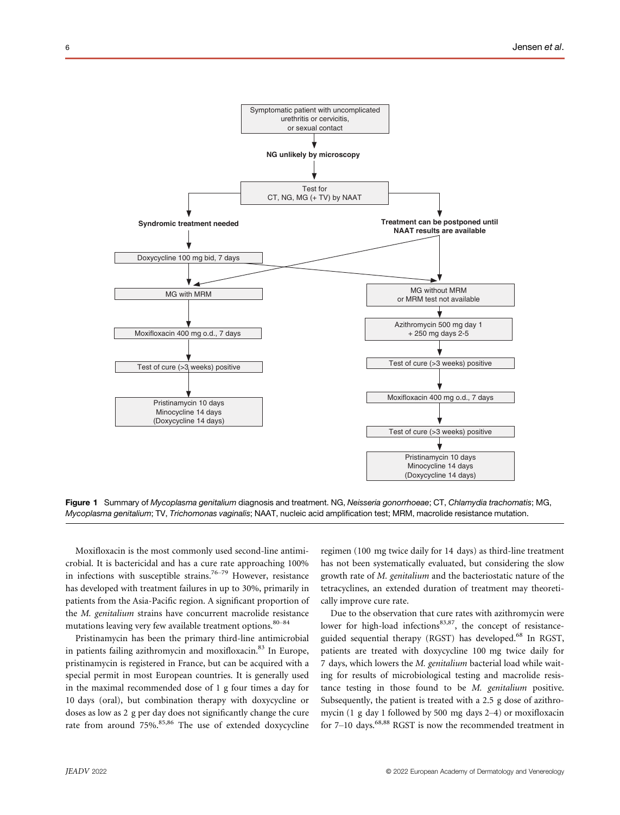

Figure 1 Summary of Mycoplasma genitalium diagnosis and treatment. NG, Neisseria gonorrhoeae; CT, Chlamydia trachomatis; MG, Mycoplasma genitalium; TV, Trichomonas vaginalis; NAAT, nucleic acid amplification test; MRM, macrolide resistance mutation.

Moxifloxacin is the most commonly used second-line antimicrobial. It is bactericidal and has a cure rate approaching 100% in infections with susceptible strains.<sup>76–79</sup> However, resistance has developed with treatment failures in up to 30%, primarily in patients from the Asia-Pacific region. A significant proportion of the M. genitalium strains have concurrent macrolide resistance mutations leaving very few available treatment options.<sup>80-84</sup>

Pristinamycin has been the primary third-line antimicrobial in patients failing azithromycin and moxifloxacin.<sup>83</sup> In Europe, pristinamycin is registered in France, but can be acquired with a special permit in most European countries. It is generally used in the maximal recommended dose of 1 g four times a day for 10 days (oral), but combination therapy with doxycycline or doses as low as 2 g per day does not significantly change the cure rate from around 75%.<sup>85,86</sup> The use of extended doxycycline regimen (100 mg twice daily for 14 days) as third-line treatment has not been systematically evaluated, but considering the slow growth rate of M. genitalium and the bacteriostatic nature of the tetracyclines, an extended duration of treatment may theoretically improve cure rate.

Due to the observation that cure rates with azithromycin were lower for high-load infections<sup>83,87</sup>, the concept of resistanceguided sequential therapy (RGST) has developed.<sup>68</sup> In RGST, patients are treated with doxycycline 100 mg twice daily for 7 days, which lowers the M. genitalium bacterial load while waiting for results of microbiological testing and macrolide resistance testing in those found to be M. genitalium positive. Subsequently, the patient is treated with a 2.5 g dose of azithromycin (1 g day 1 followed by 500 mg days 2–4) or moxifloxacin for  $7-10$  days.<sup>68,88</sup> RGST is now the recommended treatment in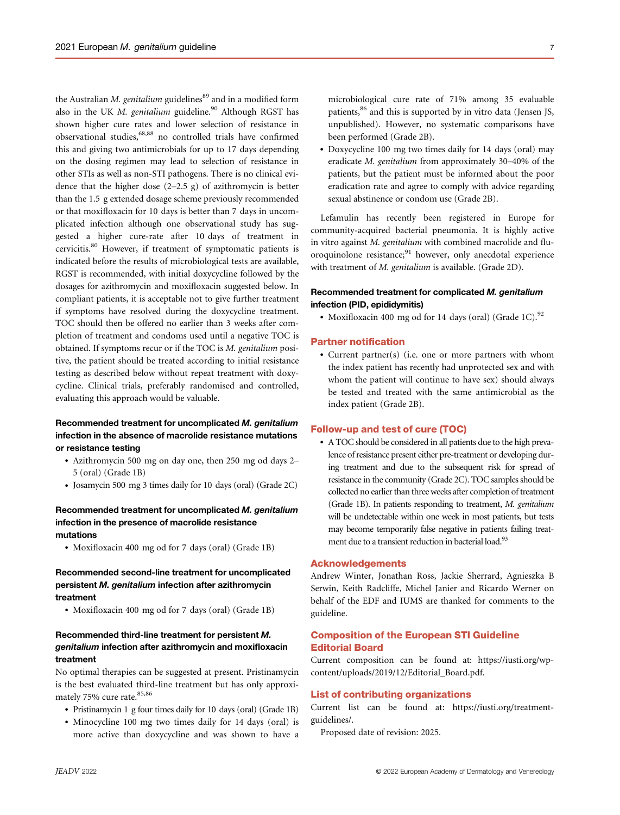the Australian  $M$ . genitalium guidelines $^{89}$  and in a modified form also in the UK M. genitalium guideline.<sup>90</sup> Although RGST has shown higher cure rates and lower selection of resistance in observational studies,68,88 no controlled trials have confirmed this and giving two antimicrobials for up to 17 days depending on the dosing regimen may lead to selection of resistance in other STIs as well as non-STI pathogens. There is no clinical evidence that the higher dose  $(2-2.5 \text{ g})$  of azithromycin is better than the 1.5 g extended dosage scheme previously recommended or that moxifloxacin for 10 days is better than 7 days in uncomplicated infection although one observational study has suggested a higher cure-rate after 10 days of treatment in cervicitis.<sup>80</sup> However, if treatment of symptomatic patients is indicated before the results of microbiological tests are available, RGST is recommended, with initial doxycycline followed by the dosages for azithromycin and moxifloxacin suggested below. In compliant patients, it is acceptable not to give further treatment if symptoms have resolved during the doxycycline treatment. TOC should then be offered no earlier than 3 weeks after completion of treatment and condoms used until a negative TOC is obtained. If symptoms recur or if the TOC is M. genitalium positive, the patient should be treated according to initial resistance testing as described below without repeat treatment with doxycycline. Clinical trials, preferably randomised and controlled, evaluating this approach would be valuable.

# Recommended treatment for uncomplicated M. genitalium infection in the absence of macrolide resistance mutations or resistance testing

- Azithromycin 500 mg on day one, then 250 mg od days 2– 5 (oral) (Grade 1B)
- Josamycin 500 mg 3 times daily for 10 days (oral) (Grade 2C)

# Recommended treatment for uncomplicated M. genitalium infection in the presence of macrolide resistance mutations

• Moxifloxacin 400 mg od for 7 days (oral) (Grade 1B)

# Recommended second-line treatment for uncomplicated persistent M. genitalium infection after azithromycin treatment

• Moxifloxacin 400 mg od for 7 days (oral) (Grade 1B)

# Recommended third-line treatment for persistent M. genitalium infection after azithromycin and moxifloxacin treatment

No optimal therapies can be suggested at present. Pristinamycin is the best evaluated third-line treatment but has only approximately 75% cure rate.<sup>85,86</sup>

- Pristinamycin 1 g four times daily for 10 days (oral) (Grade 1B)
- Minocycline 100 mg two times daily for 14 days (oral) is more active than doxycycline and was shown to have a

microbiological cure rate of 71% among 35 evaluable patients,<sup>86</sup> and this is supported by in vitro data (Jensen JS, unpublished). However, no systematic comparisons have been performed (Grade 2B).

• Doxycycline 100 mg two times daily for 14 days (oral) may eradicate M. genitalium from approximately 30–40% of the patients, but the patient must be informed about the poor eradication rate and agree to comply with advice regarding sexual abstinence or condom use (Grade 2B).

Lefamulin has recently been registered in Europe for community-acquired bacterial pneumonia. It is highly active in vitro against M. genitalium with combined macrolide and fluoroquinolone resistance;<sup>91</sup> however, only anecdotal experience with treatment of *M. genitalium* is available. (Grade 2D).

# Recommended treatment for complicated M. genitalium infection (PID, epididymitis)

• Moxifloxacin 400 mg od for 14 days (oral) (Grade 1C). $92$ 

#### Partner notification

• Current partner(s) (i.e. one or more partners with whom the index patient has recently had unprotected sex and with whom the patient will continue to have sex) should always be tested and treated with the same antimicrobial as the index patient (Grade 2B).

### Follow-up and test of cure (TOC)

• A TOC should be considered in all patients due to the high prevalence of resistance present either pre-treatment or developing during treatment and due to the subsequent risk for spread of resistance in the community (Grade 2C). TOC samples should be collected no earlier than three weeks after completion of treatment (Grade 1B). In patients responding to treatment, M. genitalium will be undetectable within one week in most patients, but tests may become temporarily false negative in patients failing treatment due to a transient reduction in bacterial load.<sup>93</sup>

# Acknowledgements

Andrew Winter, Jonathan Ross, Jackie Sherrard, Agnieszka B Serwin, Keith Radcliffe, Michel Janier and Ricardo Werner on behalf of the EDF and IUMS are thanked for comments to the guideline.

# Composition of the European STI Guideline Editorial Board

Current composition can be found at: [https://iusti.org/wp](https://iusti.org/wp-content/uploads/2019/12/Editorial_Board.pdf)[content/uploads/2019/12/Editorial\\_Board.pdf.](https://iusti.org/wp-content/uploads/2019/12/Editorial_Board.pdf)

### List of contributing organizations

Current list can be found at: [https://iusti.org/treatment](https://iusti.org/treatment-guidelines/)[guidelines/.](https://iusti.org/treatment-guidelines/)

Proposed date of revision: 2025.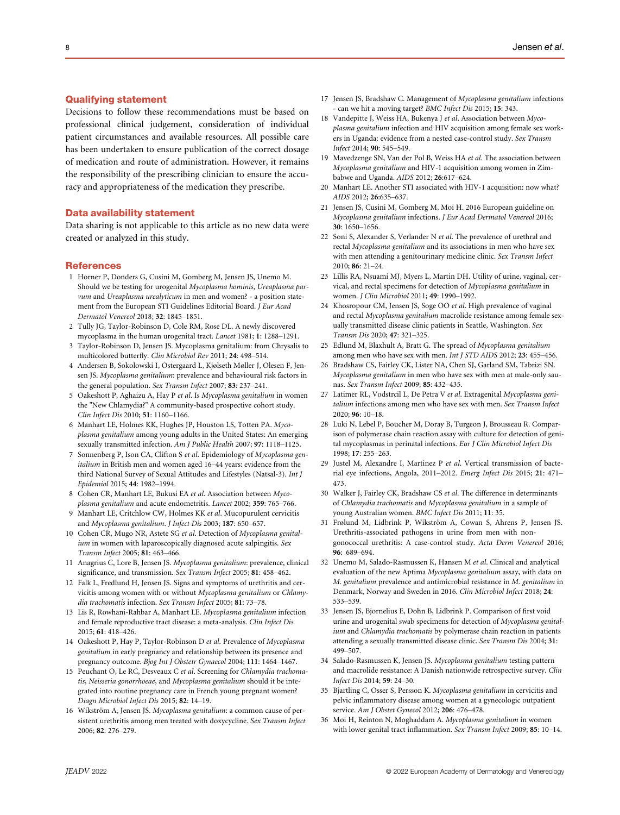## Qualifying statement

Decisions to follow these recommendations must be based on professional clinical judgement, consideration of individual patient circumstances and available resources. All possible care has been undertaken to ensure publication of the correct dosage of medication and route of administration. However, it remains the responsibility of the prescribing clinician to ensure the accuracy and appropriateness of the medication they prescribe.

### Data availability statement

Data sharing is not applicable to this article as no new data were created or analyzed in this study.

### **References**

- 1 Horner P, Donders G, Cusini M, Gomberg M, Jensen JS, Unemo M. Should we be testing for urogenital Mycoplasma hominis, Ureaplasma parvum and Ureaplasma urealyticum in men and women? - a position statement from the European STI Guidelines Editorial Board. J Eur Acad Dermatol Venereol 2018; 32: 1845–1851.
- 2 Tully JG, Taylor-Robinson D, Cole RM, Rose DL. A newly discovered mycoplasma in the human urogenital tract. Lancet 1981; 1: 1288–1291.
- 3 Taylor-Robinson D, Jensen JS. Mycoplasma genitalium: from Chrysalis to multicolored butterfly. Clin Microbiol Rev 2011; 24: 498–514.
- 4 Andersen B, Sokolowski I, Ostergaard L, Kjølseth Møller J, Olesen F, Jensen JS. Mycoplasma genitalium: prevalence and behavioural risk factors in the general population. Sex Transm Infect 2007; 83: 237-241.
- 5 Oakeshott P, Aghaizu A, Hay P et al. Is Mycoplasma genitalium in women the "New Chlamydia?" A community-based prospective cohort study. Clin Infect Dis 2010; 51: 1160–1166.
- 6 Manhart LE, Holmes KK, Hughes JP, Houston LS, Totten PA. Mycoplasma genitalium among young adults in the United States: An emerging sexually transmitted infection. Am J Public Health 2007; 97: 1118-1125.
- 7 Sonnenberg P, Ison CA, Clifton S et al. Epidemiology of Mycoplasma genitalium in British men and women aged 16–44 years: evidence from the third National Survey of Sexual Attitudes and Lifestyles (Natsal-3). Int J Epidemiol 2015; 44: 1982–1994.
- Cohen CR, Manhart LE, Bukusi EA et al. Association between Mycoplasma genitalium and acute endometritis. Lancet 2002; 359: 765–766.
- 9 Manhart LE, Critchlow CW, Holmes KK et al. Mucopurulent cervicitis and Mycoplasma genitalium. J Infect Dis 2003; 187: 650–657.
- 10 Cohen CR, Mugo NR, Astete SG et al. Detection of Mycoplasma genitalium in women with laparoscopically diagnosed acute salpingitis. Sex Transm Infect 2005; 81: 463–466.
- 11 Anagrius C, Lore B, Jensen JS. Mycoplasma genitalium: prevalence, clinical significance, and transmission. Sex Transm Infect 2005; 81: 458–462.
- 12 Falk L, Fredlund H, Jensen JS. Signs and symptoms of urethritis and cervicitis among women with or without Mycoplasma genitalium or Chlamydia trachomatis infection. Sex Transm Infect 2005; 81: 73–78.
- 13 Lis R, Rowhani-Rahbar A, Manhart LE. Mycoplasma genitalium infection and female reproductive tract disease: a meta-analysis. Clin Infect Dis 2015; 61: 418–426.
- 14 Oakeshott P, Hay P, Taylor-Robinson D et al. Prevalence of Mycoplasma genitalium in early pregnancy and relationship between its presence and pregnancy outcome. Bjog Int J Obstetr Gynaecol 2004; 111: 1464-1467.
- 15 Peuchant O, Le RC, Desveaux C et al. Screening for Chlamydia trachomatis, Neisseria gonorrhoeae, and Mycoplasma genitalium should it be integrated into routine pregnancy care in French young pregnant women? Diagn Microbiol Infect Dis 2015; 82: 14–19.
- 16 Wikström A, Jensen JS. Mycoplasma genitalium: a common cause of persistent urethritis among men treated with doxycycline. Sex Transm Infect 2006; 82: 276–279.
- 17 Jensen JS, Bradshaw C. Management of Mycoplasma genitalium infections can we hit a moving target? BMC Infect Dis 2015; 15: 343.
- 18 Vandepitte J, Weiss HA, Bukenya J et al. Association between Mycoplasma genitalium infection and HIV acquisition among female sex workers in Uganda: evidence from a nested case-control study. Sex Transm Infect 2014; 90: 545–549.
- 19 Mavedzenge SN, Van der Pol B, Weiss HA et al. The association between Mycoplasma genitalium and HIV-1 acquisition among women in Zimbabwe and Uganda. AIDS 2012; 26:617–624.
- 20 Manhart LE. Another STI associated with HIV-1 acquisition: now what? AIDS 2012; 26:635–637.
- 21 Jensen JS, Cusini M, Gomberg M, Moi H. 2016 European guideline on Mycoplasma genitalium infections. J Eur Acad Dermatol Venereol 2016; 30: 1650–1656.
- 22 Soni S, Alexander S, Verlander N et al. The prevalence of urethral and rectal Mycoplasma genitalium and its associations in men who have sex with men attending a genitourinary medicine clinic. Sex Transm Infect  $2010: 86: 21-24$
- 23 Lillis RA, Nsuami MJ, Myers L, Martin DH. Utility of urine, vaginal, cervical, and rectal specimens for detection of Mycoplasma genitalium in women. J Clin Microbiol 2011; 49: 1990–1992.
- 24 Khosropour CM, Jensen JS, Soge OO et al. High prevalence of vaginal and rectal Mycoplasma genitalium macrolide resistance among female sexually transmitted disease clinic patients in Seattle, Washington. Sex Transm Dis 2020; 47: 321–325.
- 25 Edlund M, Blaxhult A, Bratt G. The spread of Mycoplasma genitalium among men who have sex with men. Int J STD AIDS 2012; 23: 455-456.
- 26 Bradshaw CS, Fairley CK, Lister NA, Chen SJ, Garland SM, Tabrizi SN. Mycoplasma genitalium in men who have sex with men at male-only saunas. Sex Transm Infect 2009; 85: 432–435.
- 27 Latimer RL, Vodstrcil L, De Petra V et al. Extragenital Mycoplasma genitalium infections among men who have sex with men. Sex Transm Infect 2020; 96: 10–18.
- 28 Luki N, Lebel P, Boucher M, Doray B, Turgeon J, Brousseau R. Comparison of polymerase chain reaction assay with culture for detection of genital mycoplasmas in perinatal infections. Eur J Clin Microbiol Infect Dis 1998; 17: 255–263.
- 29 Justel M, Alexandre I, Martinez P et al. Vertical transmission of bacterial eye infections, Angola, 2011–2012. Emerg Infect Dis 2015; 21: 471– 473.
- 30 Walker J, Fairley CK, Bradshaw CS et al. The difference in determinants of Chlamydia trachomatis and Mycoplasma genitalium in a sample of young Australian women. BMC Infect Dis 2011; 11: 35.
- 31 Frølund M, Lidbrink P, Wikström A, Cowan S, Ahrens P, Jensen JS. Urethritis-associated pathogens in urine from men with nongonococcal urethritis: A case-control study. Acta Derm Venereol 2016; 96: 689–694.
- 32 Unemo M, Salado-Rasmussen K, Hansen M et al. Clinical and analytical evaluation of the new Aptima Mycoplasma genitalium assay, with data on M. genitalium prevalence and antimicrobial resistance in M. genitalium in Denmark, Norway and Sweden in 2016. Clin Microbiol Infect 2018; 24: 533–539.
- 33 Jensen JS, Bjornelius E, Dohn B, Lidbrink P. Comparison of first void urine and urogenital swab specimens for detection of Mycoplasma genitalium and Chlamydia trachomatis by polymerase chain reaction in patients attending a sexually transmitted disease clinic. Sex Transm Dis 2004; 31: 499–507.
- 34 Salado-Rasmussen K, Jensen JS. Mycoplasma genitalium testing pattern and macrolide resistance: A Danish nationwide retrospective survey. Clin Infect Dis 2014; 59: 24–30.
- 35 Bjartling C, Osser S, Persson K. Mycoplasma genitalium in cervicitis and pelvic inflammatory disease among women at a gynecologic outpatient service. Am J Obstet Gynecol 2012; 206: 476-478.
- 36 Moi H, Reinton N, Moghaddam A. Mycoplasma genitalium in women with lower genital tract inflammation. Sex Transm Infect 2009; 85: 10–14.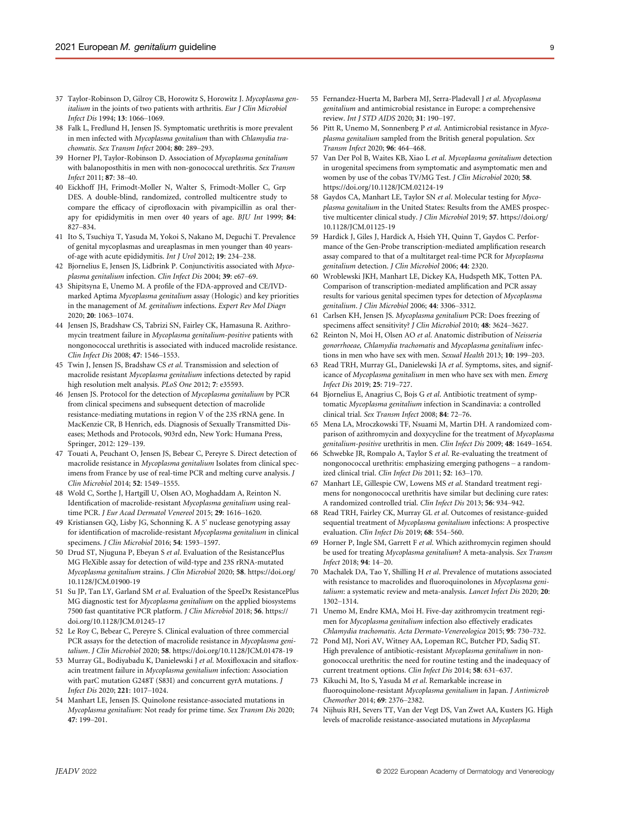- 37 Taylor-Robinson D, Gilroy CB, Horowitz S, Horowitz J. Mycoplasma genitalium in the joints of two patients with arthritis. Eur J Clin Microbiol Infect Dis 1994; 13: 1066–1069.
- 38 Falk L, Fredlund H, Jensen JS. Symptomatic urethritis is more prevalent in men infected with Mycoplasma genitalium than with Chlamydia trachomatis. Sex Transm Infect 2004; 80: 289–293.
- 39 Horner PJ, Taylor-Robinson D. Association of Mycoplasma genitalium with balanoposthitis in men with non-gonococcal urethritis. Sex Transm Infect 2011; 87: 38–40.
- 40 Eickhoff JH, Frimodt-Moller N, Walter S, Frimodt-Moller C, Grp DES. A double-blind, randomized, controlled multicentre study to compare the efficacy of ciprofloxacin with pivampicillin as oral therapy for epididymitis in men over 40 years of age. BJU Int 1999; 84: 827–834.
- 41 Ito S, Tsuchiya T, Yasuda M, Yokoi S, Nakano M, Deguchi T. Prevalence of genital mycoplasmas and ureaplasmas in men younger than 40 yearsof-age with acute epididymitis. Int J Urol 2012; 19: 234–238.
- 42 Bjornelius E, Jensen JS, Lidbrink P. Conjunctivitis associated with Mycoplasma genitalium infection. Clin Infect Dis 2004; 39: e67–69.
- 43 Shipitsyna E, Unemo M. A profile of the FDA-approved and CE/IVDmarked Aptima Mycoplasma genitalium assay (Hologic) and key priorities in the management of M. genitalium infections. Expert Rev Mol Diagn 2020; 20: 1063–1074.
- 44 Jensen JS, Bradshaw CS, Tabrizi SN, Fairley CK, Hamasuna R. Azithromycin treatment failure in Mycoplasma genitalium-positive patients with nongonococcal urethritis is associated with induced macrolide resistance. Clin Infect Dis 2008; 47: 1546–1553.
- 45 Twin J, Jensen JS, Bradshaw CS et al. Transmission and selection of macrolide resistant Mycoplasma genitalium infections detected by rapid high resolution melt analysis. PLoS One 2012; 7: e35593.
- 46 Jensen JS. Protocol for the detection of Mycoplasma genitalium by PCR from clinical specimens and subsequent detection of macrolide resistance-mediating mutations in region V of the 23S rRNA gene. In MacKenzie CR, B Henrich, eds. Diagnosis of Sexually Transmitted Diseases; Methods and Protocols, 903rd edn, New York: Humana Press, Springer, 2012: 129–139.
- 47 Touati A, Peuchant O, Jensen JS, Bebear C, Pereyre S. Direct detection of macrolide resistance in Mycoplasma genitalium Isolates from clinical specimens from France by use of real-time PCR and melting curve analysis. J Clin Microbiol 2014; 52: 1549–1555.
- 48 Wold C, Sorthe J, Hartgill U, Olsen AO, Moghaddam A, Reinton N. Identification of macrolide-resistant Mycoplasma genitalium using realtime PCR. J Eur Acad Dermatol Venereol 2015; 29: 1616–1620.
- 49 Kristiansen GQ, Lisby JG, Schonning K. A 5' nuclease genotyping assay for identification of macrolide-resistant Mycoplasma genitalium in clinical specimens. J Clin Microbiol 2016; 54: 1593–1597.
- 50 Drud ST, Njuguna P, Ebeyan S et al. Evaluation of the ResistancePlus MG FleXible assay for detection of wild-type and 23S rRNA-mutated Mycoplasma genitalium strains. J Clin Microbiol 2020; 58. [https://doi.org/](https://doi.org/10.1128/JCM.01900-19) [10.1128/JCM.01900-19](https://doi.org/10.1128/JCM.01900-19)
- 51 Su JP, Tan LY, Garland SM et al. Evaluation of the SpeeDx ResistancePlus MG diagnostic test for Mycoplasma genitalium on the applied biosystems 7500 fast quantitative PCR platform. J Clin Microbiol 2018; 56. [https://](https://doi.org/10.1128/JCM.01245-17) [doi.org/10.1128/JCM.01245-17](https://doi.org/10.1128/JCM.01245-17)
- 52 Le Roy C, Bebear C, Pereyre S. Clinical evaluation of three commercial PCR assays for the detection of macrolide resistance in Mycoplasma genitalium. J Clin Microbiol 2020; 58.<https://doi.org/10.1128/JCM.01478-19>
- 53 Murray GL, Bodiyabadu K, Danielewski J et al. Moxifloxacin and sitafloxacin treatment failure in Mycoplasma genitalium infection: Association with parC mutation G248T (S83I) and concurrent gyrA mutations. J Infect Dis 2020; 221: 1017–1024.
- 54 Manhart LE, Jensen JS. Quinolone resistance-associated mutations in Mycoplasma genitalium: Not ready for prime time. Sex Transm Dis 2020; 47: 199–201.
- 55 Fernandez-Huerta M, Barbera MJ, Serra-Pladevall J et al. Mycoplasma genitalium and antimicrobial resistance in Europe: a comprehensive review. Int J STD AIDS 2020; 31: 190–197.
- 56 Pitt R, Unemo M, Sonnenberg P et al. Antimicrobial resistance in Mycoplasma genitalium sampled from the British general population. Sex Transm Infect 2020; 96: 464–468.
- 57 Van Der Pol B, Waites KB, Xiao L et al. Mycoplasma genitalium detection in urogenital specimens from symptomatic and asymptomatic men and women by use of the cobas TV/MG Test. J Clin Microbiol 2020; 58. <https://doi.org/10.1128/JCM.02124-19>
- 58 Gaydos CA, Manhart LE, Taylor SN et al. Molecular testing for Mycoplasma genitalium in the United States: Results from the AMES prospective multicenter clinical study. J Clin Microbiol 2019; 57. [https://doi.org/](https://doi.org/10.1128/JCM.01125-19) [10.1128/JCM.01125-19](https://doi.org/10.1128/JCM.01125-19)
- 59 Hardick J, Giles J, Hardick A, Hsieh YH, Quinn T, Gaydos C. Performance of the Gen-Probe transcription-mediated amplification research assay compared to that of a multitarget real-time PCR for Mycoplasma genitalium detection. J Clin Microbiol 2006; 44: 2320.
- 60 Wroblewski JKH, Manhart LE, Dickey KA, Hudspeth MK, Totten PA. Comparison of transcription-mediated amplification and PCR assay results for various genital specimen types for detection of Mycoplasma genitalium. J Clin Microbiol 2006; 44: 3306–3312.
- 61 Carlsen KH, Jensen JS. Mycoplasma genitalium PCR: Does freezing of specimens affect sensitivity? J Clin Microbiol 2010; 48: 3624–3627.
- 62 Reinton N, Moi H, Olsen AO et al. Anatomic distribution of Neisseria gonorrhoeae, Chlamydia trachomatis and Mycoplasma genitalium infections in men who have sex with men. Sexual Health 2013; 10: 199–203.
- 63 Read TRH, Murray GL, Danielewski JA et al. Symptoms, sites, and significance of Mycoplasma genitalium in men who have sex with men. Emerg Infect Dis 2019; 25: 719–727.
- 64 Bjornelius E, Anagrius C, Bojs G et al. Antibiotic treatment of symptomatic Mycoplasma genitalium infection in Scandinavia: a controlled clinical trial. Sex Transm Infect 2008; 84: 72–76.
- 65 Mena LA, Mroczkowski TF, Nsuami M, Martin DH. A randomized comparison of azithromycin and doxycycline for the treatment of Mycoplasma genitalium-positive urethritis in men. Clin Infect Dis 2009; 48: 1649–1654.
- 66 Schwebke JR, Rompalo A, Taylor S et al. Re-evaluating the treatment of nongonococcal urethritis: emphasizing emerging pathogens – a randomized clinical trial. Clin Infect Dis 2011; 52: 163–170.
- 67 Manhart LE, Gillespie CW, Lowens MS et al. Standard treatment regimens for nongonococcal urethritis have similar but declining cure rates: A randomized controlled trial. Clin Infect Dis 2013; 56: 934–942.
- 68 Read TRH, Fairley CK, Murray GL et al. Outcomes of resistance-guided sequential treatment of Mycoplasma genitalium infections: A prospective evaluation. Clin Infect Dis 2019; 68: 554–560.
- 69 Horner P, Ingle SM, Garrett F et al. Which azithromycin regimen should be used for treating Mycoplasma genitalium? A meta-analysis. Sex Transm Infect 2018; 94: 14–20.
- 70 Machalek DA, Tao Y, Shilling H et al. Prevalence of mutations associated with resistance to macrolides and fluoroquinolones in Mycoplasma genitalium: a systematic review and meta-analysis. Lancet Infect Dis 2020; 20: 1302–1314.
- 71 Unemo M, Endre KMA, Moi H. Five-day azithromycin treatment regimen for Mycoplasma genitalium infection also effectively eradicates Chlamydia trachomatis. Acta Dermato-Venereologica 2015; 95: 730–732.
- 72 Pond MJ, Nori AV, Witney AA, Lopeman RC, Butcher PD, Sadiq ST. High prevalence of antibiotic-resistant Mycoplasma genitalium in nongonococcal urethritis: the need for routine testing and the inadequacy of current treatment options. Clin Infect Dis 2014; 58: 631–637.
- 73 Kikuchi M, Ito S, Yasuda M et al. Remarkable increase in fluoroquinolone-resistant Mycoplasma genitalium in Japan. J Antimicrob Chemother 2014; 69: 2376–2382.
- 74 Nijhuis RH, Severs TT, Van der Vegt DS, Van Zwet AA, Kusters JG. High levels of macrolide resistance-associated mutations in Mycoplasma